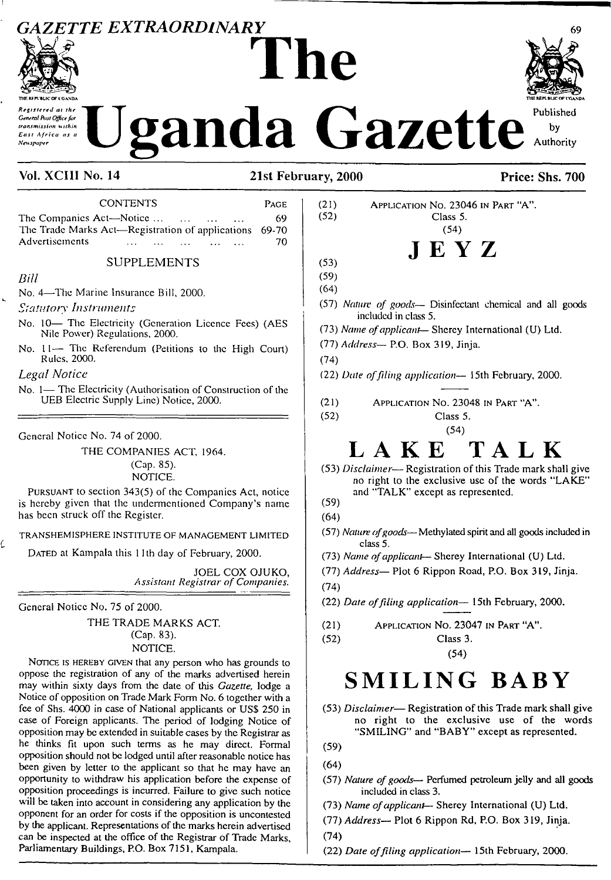# *GAZETTE EXTRAORDLNARY* <sup>69</sup> **The**



Ċ

# **Tlffi IFPltUCOF IGANDA •nut unwc**of voanda *Central Ray Office for*<br>*Central Ray Office for*<br>*East Africa as a*<br>*Kenspaper*</sub> **Uganda** Gazette authority

Vol. XCIII No. 14 21st February, 2000 Price: Shs. 700

| <b>CONTENTS</b><br>PAGE                                                                                                                                |
|--------------------------------------------------------------------------------------------------------------------------------------------------------|
| The Companies Act-Notice<br>69<br>$\cdots$<br>The Trade Marks Act-Registration of applications<br>69-70<br>Advertisements<br>70                        |
| <b>SUPPLEMENTS</b>                                                                                                                                     |
| Bill                                                                                                                                                   |
| No. 4—The Marine Insurance Bill, 2000.                                                                                                                 |
| <i>Statutory Instruments</i>                                                                                                                           |
| No. 10- The Electricity (Generation Licence Fees) (AES<br>Nile Power) Regulations, 2000.                                                               |
| No. 11- The Referendum (Petitions to the High Court)<br>Rules, 2000.                                                                                   |
| Legal Notice                                                                                                                                           |
| No. 1- The Electricity (Authorisation of Construction of the<br>UEB Electric Supply Line) Notice, 2000.                                                |
| General Notice No. 74 of 2000.                                                                                                                         |
| THE COMPANIES ACT, 1964.                                                                                                                               |
| (Cap. 85).<br>NOTICE.                                                                                                                                  |
| PURSUANT to section 343(5) of the Companies Act, notice<br>is hereby given that the undermentioned Company's name<br>has been struck off the Register. |
| TRANSHEMISPHERE INSTITUTE OF MANAGEMENT LIMITED                                                                                                        |
| DATED at Kampala this 11th day of February, 2000.                                                                                                      |
| JOEL COX OJUKO.<br><b>Assistant Registrar of Companies.</b>                                                                                            |
| General Notice No. 75 of 2000.                                                                                                                         |
| THE TRADE MARKS ACT.<br>(Cap. 83).                                                                                                                     |

## NOTICE.

NOTICE IS HEREBY GIVEN that any person who has grounds to oppose the registration of any of the marks advertised herein may within sixty days from the date of this *Gazette,* lodge a Notice of opposition on Trade Mark Form No. 6 together with a fee of Shs. 4000 in case of National applicants or USS 250 in case of Foreign applicants. The period of lodging Notice of opposition may be extended in suitable cases by the Registrar as he thinks fit upon such terms as he may direct. Formal opposition should not be lodged until after reasonable notice has been given by letter to the applicant so that he may have an opportunity to withdraw his application before the expense of opposition proceedings is incurred. Failure to give such notice will be taken into account in considering any application by the opponent for an order for costs if the opposition is uncontested by the applicant. Representations of the marks herein advertised can be inspected at the office of the Registrar of Trade Marks, Parliamentary Buildings, P.O. Box 7151, Kampala.

Application No. 23046 in Part "A". Class 5. (54) JEYZ

(53)

(21) (52)

(59)

- (64)
- (57) *Nature of goods—* Disinfectant chemical and all goods included in class 5.
- (73) *Name ofapplicant—* Shercy International (U) Ltd.
- (77) *Address—* P.O. Box 319, Jinja.

(74)

(52)

- (22) *Date offiling application—* 15th February, 2000.
- (21) Application No. 23048 in Part "A".

Class 5. (54)

### **TALK** LAKE

(53) *Disclaimer*— Registration of this Trade mark shall give no right to the exclusive use of the words "LAKE" and "TALK" except as represented.

- (59)
- (64)
- (57) *Nature ofgoods*—Methylated spirit and all goods included in class 5.
- (73) *Name ofapplicant* Sherey International (U) Ltd.
- (77) *Address—* Plot 6 Rippon Road, P.O. Box 319, Jinja.
- (74)

(52)

(22) *Date offiling application—* 15th February, 2000.

(21) Application No. 23047 in Part 'A".

> Class 3. (54)

# **SMILING BABY**

- (53) *Disclaimer* Registration of this Trade mark shall give no right to the exclusive use of the words "SMILING" and "BABY" except as represented.
- (59)
- (64)
- (57) *Nature ofgoods—* Perfumed petroleum jelly and all goods included in class 3.
- (73) *Name ofapplicant—* Sherey International (U) Ltd.
- (77) *Address—* Plot 6 Rippon Rd, P.O. Box 319, Jinja.
- (74)
- (22) *Date offiling application—* 15th February, 2000.



Published